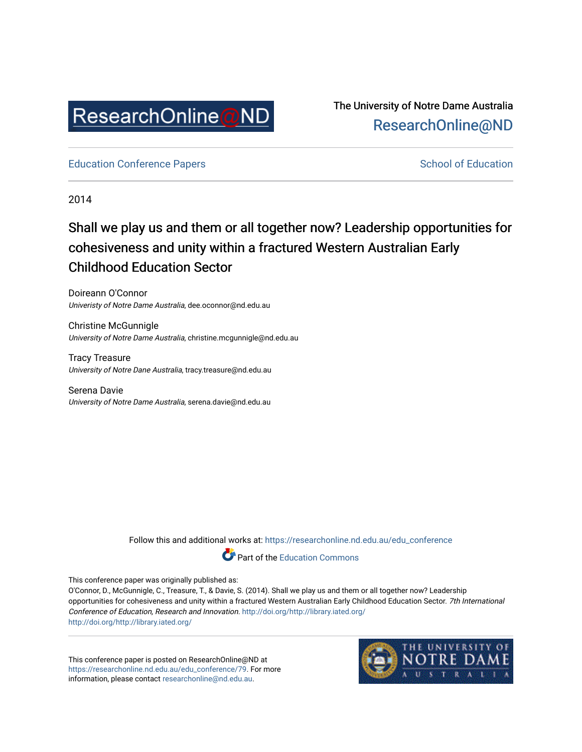

The University of Notre Dame Australia [ResearchOnline@ND](https://researchonline.nd.edu.au/) 

[Education Conference Papers](https://researchonline.nd.edu.au/edu_conference) **School of Education** School of Education

2014

# Shall we play us and them or all together now? Leadership opportunities for cohesiveness and unity within a fractured Western Australian Early Childhood Education Sector

Doireann O'Connor Univeristy of Notre Dame Australia, dee.oconnor@nd.edu.au

Christine McGunnigle University of Notre Dame Australia, christine.mcgunnigle@nd.edu.au

Tracy Treasure University of Notre Dane Australia, tracy.treasure@nd.edu.au

Serena Davie University of Notre Dame Australia, serena.davie@nd.edu.au

Follow this and additional works at: [https://researchonline.nd.edu.au/edu\\_conference](https://researchonline.nd.edu.au/edu_conference?utm_source=researchonline.nd.edu.au%2Fedu_conference%2F79&utm_medium=PDF&utm_campaign=PDFCoverPages)



This conference paper was originally published as:

O'Connor, D., McGunnigle, C., Treasure, T., & Davie, S. (2014). Shall we play us and them or all together now? Leadership opportunities for cohesiveness and unity within a fractured Western Australian Early Childhood Education Sector. 7th International Conference of Education, Research and Innovation. <http://doi.org/http://library.iated.org/> <http://doi.org/http://library.iated.org/>

This conference paper is posted on ResearchOnline@ND at [https://researchonline.nd.edu.au/edu\\_conference/79.](https://researchonline.nd.edu.au/edu_conference/79) For more information, please contact [researchonline@nd.edu.au.](mailto:researchonline@nd.edu.au)

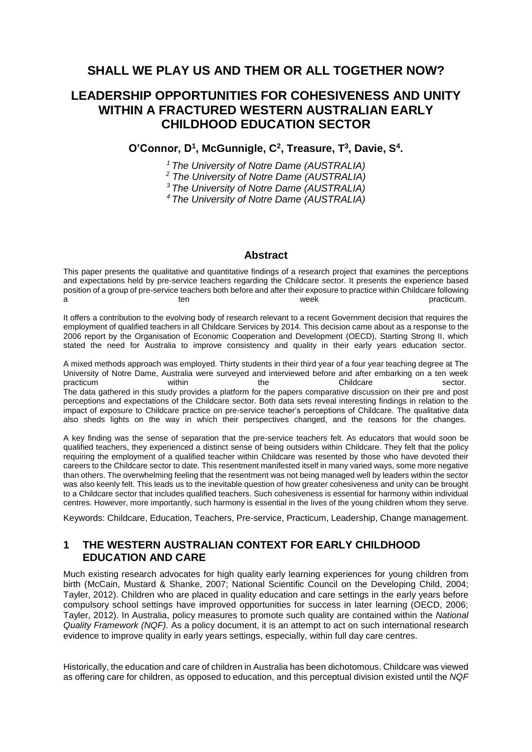## **SHALL WE PLAY US AND THEM OR ALL TOGETHER NOW?**

## **LEADERSHIP OPPORTUNITIES FOR COHESIVENESS AND UNITY WITHIN A FRACTURED WESTERN AUSTRALIAN EARLY CHILDHOOD EDUCATION SECTOR**

### **O'Connor, D<sup>1</sup> , McGunnigle, C<sup>2</sup> , Treasure, T<sup>3</sup> , Davie, S<sup>4</sup> .**

*<sup>1</sup> The University of Notre Dame (AUSTRALIA)* 

*<sup>2</sup> The University of Notre Dame (AUSTRALIA)* 

*<sup>3</sup>The University of Notre Dame (AUSTRALIA)* 

*<sup>4</sup>The University of Notre Dame (AUSTRALIA)* 

### **Abstract**

This paper presents the qualitative and quantitative findings of a research project that examines the perceptions and expectations held by pre-service teachers regarding the Childcare sector. It presents the experience based position of a group of pre-service teachers both before and after their exposure to practice within Childcare following a ten ten week practicum.

It offers a contribution to the evolving body of research relevant to a recent Government decision that requires the employment of qualified teachers in all Childcare Services by 2014. This decision came about as a response to the 2006 report by the Organisation of Economic Cooperation and Development (OECD), Starting Strong II, which stated the need for Australia to improve consistency and quality in their early years education sector.

A mixed methods approach was employed. Thirty students in their third year of a four year teaching degree at The University of Notre Dame, Australia were surveyed and interviewed before and after embarking on a ten week practicum within the the Childcare sector. The data gathered in this study provides a platform for the papers comparative discussion on their pre and post perceptions and expectations of the Childcare sector. Both data sets reveal interesting findings in relation to the impact of exposure to Childcare practice on pre-service teacher's perceptions of Childcare. The qualitative data also sheds lights on the way in which their perspectives changed, and the reasons for the changes.

A key finding was the sense of separation that the pre-service teachers felt. As educators that would soon be qualified teachers, they experienced a distinct sense of being outsiders within Childcare. They felt that the policy requiring the employment of a qualified teacher within Childcare was resented by those who have devoted their careers to the Childcare sector to date. This resentment manifested itself in many varied ways, some more negative than others. The overwhelming feeling that the resentment was not being managed well by leaders within the sector was also keenly felt. This leads us to the inevitable question of how greater cohesiveness and unity can be brought to a Childcare sector that includes qualified teachers. Such cohesiveness is essential for harmony within individual centres. However, more importantly, such harmony is essential in the lives of the young children whom they serve.

Keywords: Childcare, Education, Teachers, Pre-service, Practicum, Leadership, Change management.

## **1 THE WESTERN AUSTRALIAN CONTEXT FOR EARLY CHILDHOOD EDUCATION AND CARE**

Much existing research advocates for high quality early learning experiences for young children from birth (McCain, Mustard & Shanke, 2007; National Scientific Council on the Developing Child, 2004; Tayler, 2012). Children who are placed in quality education and care settings in the early years before compulsory school settings have improved opportunities for success in later learning (OECD, 2006; Tayler, 2012). In Australia, policy measures to promote such quality are contained within the *National Quality Framework (NQF).* As a policy document, it is an attempt to act on such international research evidence to improve quality in early years settings, especially, within full day care centres.

Historically, the education and care of children in Australia has been dichotomous. Childcare was viewed as offering care for children, as opposed to education, and this perceptual division existed until the *NQF*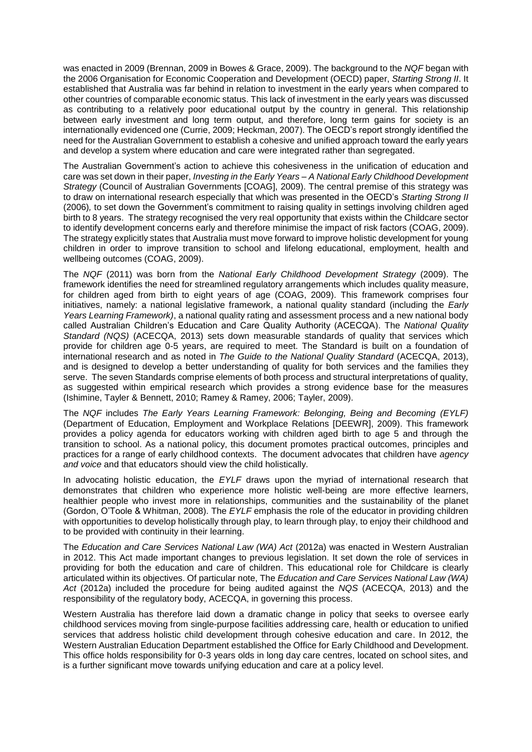was enacted in 2009 (Brennan, 2009 in Bowes & Grace, 2009). The background to the *NQF* began with the 2006 Organisation for Economic Cooperation and Development (OECD) paper, *Starting Strong II*. It established that Australia was far behind in relation to investment in the early years when compared to other countries of comparable economic status. This lack of investment in the early years was discussed as contributing to a relatively poor educational output by the country in general. This relationship between early investment and long term output, and therefore, long term gains for society is an internationally evidenced one (Currie, 2009; Heckman, 2007). The OECD's report strongly identified the need for the Australian Government to establish a cohesive and unified approach toward the early years and develop a system where education and care were integrated rather than segregated.

The Australian Government's action to achieve this cohesiveness in the unification of education and care was set down in their paper, *Investing in the Early Years – A National Early Childhood Development Strategy* (Council of Australian Governments [COAG], 2009). The central premise of this strategy was to draw on international research especially that which was presented in the OECD's *Starting Strong II*  (2006)*,* to set down the Government's commitment to raising quality in settings involving children aged birth to 8 years. The strategy recognised the very real opportunity that exists within the Childcare sector to identify development concerns early and therefore minimise the impact of risk factors (COAG, 2009). The strategy explicitly states that Australia must move forward to improve holistic development for young children in order to improve transition to school and lifelong educational, employment, health and wellbeing outcomes (COAG, 2009).

The *NQF* (2011) was born from the *National Early Childhood Development Strategy* (2009). The framework identifies the need for streamlined regulatory arrangements which includes quality measure, for children aged from birth to eight years of age (COAG, 2009). This framework comprises four initiatives, namely: a national legislative framework, a national quality standard (including the *Early Years Learning Framework)*, a national quality rating and assessment process and a new national body called Australian Children's Education and Care Quality Authority (ACECQA). The *National Quality Standard (NQS)* (ACECQA, 2013) sets down measurable standards of quality that services which provide for children age 0-5 years, are required to meet. The Standard is built on a foundation of international research and as noted in *The Guide to the National Quality Standard* (ACECQA, 2013), and is designed to develop a better understanding of quality for both services and the families they serve. The seven Standards comprise elements of both process and structural interpretations of quality, as suggested within empirical research which provides a strong evidence base for the measures (Ishimine, Tayler & Bennett, 2010; Ramey & Ramey, 2006; Tayler, 2009).

The *NQF* includes *The Early Years Learning Framework: Belonging, Being and Becoming (EYLF)* (Department of Education, Employment and Workplace Relations [DEEWR], 2009). This framework provides a policy agenda for educators working with children aged birth to age 5 and through the transition to school. As a national policy, this document promotes practical outcomes, principles and practices for a range of early childhood contexts. The document advocates that children have *agency and voice* and that educators should view the child holistically.

In advocating holistic education, the *EYLF* draws upon the myriad of international research that demonstrates that children who experience more holistic well-being are more effective learners, healthier people who invest more in relationships, communities and the sustainability of the planet (Gordon, O'Toole & Whitman, 2008). The *EYLF* emphasis the role of the educator in providing children with opportunities to develop holistically through play, to learn through play, to enjoy their childhood and to be provided with continuity in their learning.

The *Education and Care Services National Law (WA) Act* (2012a) was enacted in Western Australian in 2012. This Act made important changes to previous legislation. It set down the role of services in providing for both the education and care of children. This educational role for Childcare is clearly articulated within its objectives. Of particular note, The *Education and Care Services National Law (WA) Act* (2012a) included the procedure for being audited against the *NQS* (ACECQA, 2013) and the responsibility of the regulatory body, ACECQA, in governing this process.

Western Australia has therefore laid down a dramatic change in policy that seeks to oversee early childhood services moving from single-purpose facilities addressing care, health or education to unified services that address holistic child development through cohesive education and care. In 2012, the Western Australian Education Department established the Office for Early Childhood and Development. This office holds responsibility for 0-3 years olds in long day care centres, located on school sites, and is a further significant move towards unifying education and care at a policy level.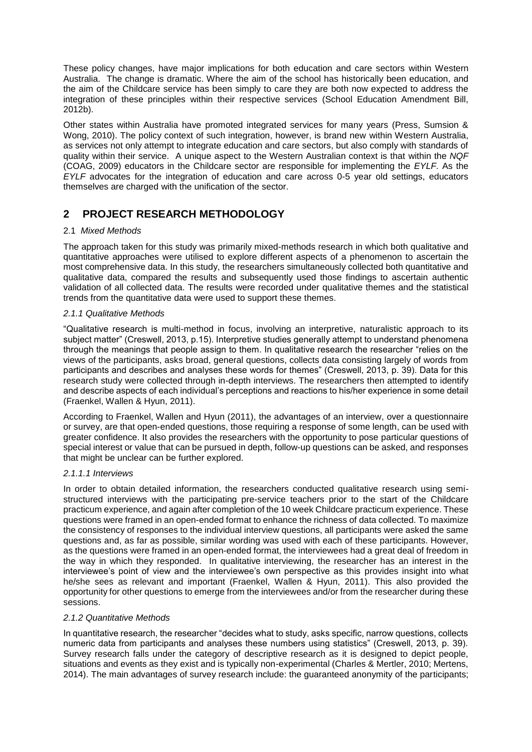These policy changes, have major implications for both education and care sectors within Western Australia. The change is dramatic. Where the aim of the school has historically been education, and the aim of the Childcare service has been simply to care they are both now expected to address the integration of these principles within their respective services (School Education Amendment Bill, 2012b).

Other states within Australia have promoted integrated services for many years (Press, Sumsion & Wong, 2010). The policy context of such integration, however, is brand new within Western Australia, as services not only attempt to integrate education and care sectors, but also comply with standards of quality within their service. A unique aspect to the Western Australian context is that within the *NQF* (COAG, 2009) educators in the Childcare sector are responsible for implementing the *EYLF.* As the *EYLF* advocates for the integration of education and care across 0-5 year old settings, educators themselves are charged with the unification of the sector.

## **2 PROJECT RESEARCH METHODOLOGY**

#### 2.1 *Mixed Methods*

The approach taken for this study was primarily mixed-methods research in which both qualitative and quantitative approaches were utilised to explore different aspects of a phenomenon to ascertain the most comprehensive data. In this study, the researchers simultaneously collected both quantitative and qualitative data, compared the results and subsequently used those findings to ascertain authentic validation of all collected data. The results were recorded under qualitative themes and the statistical trends from the quantitative data were used to support these themes.

#### *2.1.1 Qualitative Methods*

"Qualitative research is multi-method in focus, involving an interpretive, naturalistic approach to its subject matter" (Creswell, 2013, p.15). Interpretive studies generally attempt to understand phenomena through the meanings that people assign to them. In qualitative research the researcher "relies on the views of the participants, asks broad, general questions, collects data consisting largely of words from participants and describes and analyses these words for themes" (Creswell, 2013, p. 39). Data for this research study were collected through in-depth interviews. The researchers then attempted to identify and describe aspects of each individual's perceptions and reactions to his/her experience in some detail (Fraenkel, Wallen & Hyun, 2011).

According to Fraenkel, Wallen and Hyun (2011), the advantages of an interview, over a questionnaire or survey, are that open-ended questions, those requiring a response of some length, can be used with greater confidence. It also provides the researchers with the opportunity to pose particular questions of special interest or value that can be pursued in depth, follow-up questions can be asked, and responses that might be unclear can be further explored.

#### *2.1.1.1 Interviews*

In order to obtain detailed information, the researchers conducted qualitative research using semistructured interviews with the participating pre-service teachers prior to the start of the Childcare practicum experience, and again after completion of the 10 week Childcare practicum experience. These questions were framed in an open-ended format to enhance the richness of data collected. To maximize the consistency of responses to the individual interview questions, all participants were asked the same questions and, as far as possible, similar wording was used with each of these participants. However, as the questions were framed in an open-ended format, the interviewees had a great deal of freedom in the way in which they responded. In qualitative interviewing, the researcher has an interest in the interviewee's point of view and the interviewee's own perspective as this provides insight into what he/she sees as relevant and important (Fraenkel, Wallen & Hyun, 2011). This also provided the opportunity for other questions to emerge from the interviewees and/or from the researcher during these sessions.

#### *2.1.2 Quantitative Methods*

In quantitative research, the researcher "decides what to study, asks specific, narrow questions, collects numeric data from participants and analyses these numbers using statistics" (Creswell, 2013, p. 39). Survey research falls under the category of descriptive research as it is designed to depict people, situations and events as they exist and is typically non-experimental (Charles & Mertler, 2010; Mertens, 2014). The main advantages of survey research include: the guaranteed anonymity of the participants;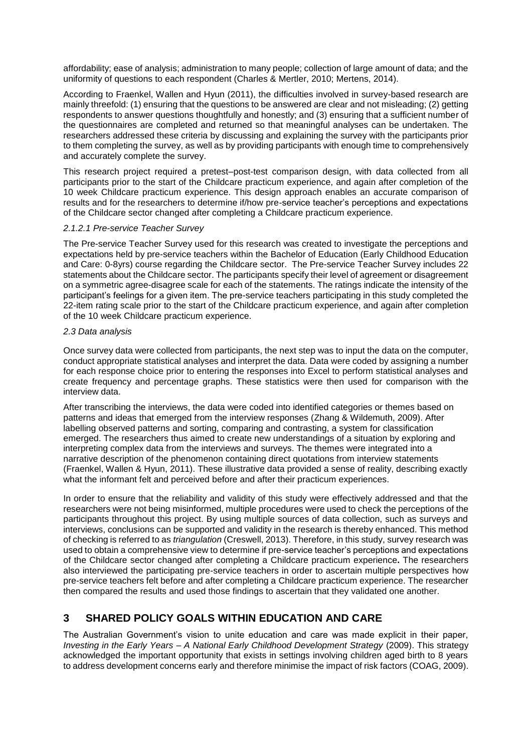affordability; ease of analysis; administration to many people; collection of large amount of data; and the uniformity of questions to each respondent (Charles & Mertler, 2010; Mertens, 2014).

According to Fraenkel, Wallen and Hyun (2011), the difficulties involved in survey-based research are mainly threefold: (1) ensuring that the questions to be answered are clear and not misleading; (2) getting respondents to answer questions thoughtfully and honestly; and (3) ensuring that a sufficient number of the questionnaires are completed and returned so that meaningful analyses can be undertaken. The researchers addressed these criteria by discussing and explaining the survey with the participants prior to them completing the survey, as well as by providing participants with enough time to comprehensively and accurately complete the survey.

This research project required a pretest–post-test comparison design, with data collected from all participants prior to the start of the Childcare practicum experience, and again after completion of the 10 week Childcare practicum experience. This design approach enables an accurate comparison of results and for the researchers to determine if/how pre-service teacher's perceptions and expectations of the Childcare sector changed after completing a Childcare practicum experience.

#### *2.1.2.1 Pre-service Teacher Survey*

The Pre-service Teacher Survey used for this research was created to investigate the perceptions and expectations held by pre-service teachers within the Bachelor of Education (Early Childhood Education and Care: 0-8yrs) course regarding the Childcare sector. The Pre-service Teacher Survey includes 22 statements about the Childcare sector. The participants specify their level of agreement or disagreement on a symmetric agree-disagree scale for each of the statements. The ratings indicate the intensity of the participant's feelings for a given item. The pre-service teachers participating in this study completed the 22-item rating scale prior to the start of the Childcare practicum experience, and again after completion of the 10 week Childcare practicum experience.

#### *2.3 Data analysis*

Once survey data were collected from participants, the next step was to input the data on the computer, conduct appropriate statistical analyses and interpret the data. Data were coded by assigning a number for each response choice prior to entering the responses into Excel to perform statistical analyses and create frequency and percentage graphs. These statistics were then used for comparison with the interview data.

After transcribing the interviews, the data were coded into identified categories or themes based on patterns and ideas that emerged from the interview responses (Zhang & Wildemuth, 2009). After labelling observed patterns and sorting, comparing and contrasting, a system for classification emerged. The researchers thus aimed to create new understandings of a situation by exploring and interpreting complex data from the interviews and surveys. The themes were integrated into a narrative description of the phenomenon containing direct quotations from interview statements (Fraenkel, Wallen & Hyun, 2011). These illustrative data provided a sense of reality, describing exactly what the informant felt and perceived before and after their practicum experiences.

In order to ensure that the reliability and validity of this study were effectively addressed and that the researchers were not being misinformed, multiple procedures were used to check the perceptions of the participants throughout this project. By using multiple sources of data collection, such as surveys and interviews, conclusions can be supported and validity in the research is thereby enhanced. This method of checking is referred to as *triangulation* (Creswell, 2013). Therefore, in this study, survey research was used to obtain a comprehensive view to determine if pre-service teacher's perceptions and expectations of the Childcare sector changed after completing a Childcare practicum experience**.** The researchers also interviewed the participating pre-service teachers in order to ascertain multiple perspectives how pre-service teachers felt before and after completing a Childcare practicum experience. The researcher then compared the results and used those findings to ascertain that they validated one another.

### **3 SHARED POLICY GOALS WITHIN EDUCATION AND CARE**

The Australian Government's vision to unite education and care was made explicit in their paper, *Investing in the Early Years – A National Early Childhood Development Strategy* (2009). This strategy acknowledged the important opportunity that exists in settings involving children aged birth to 8 years to address development concerns early and therefore minimise the impact of risk factors (COAG, 2009).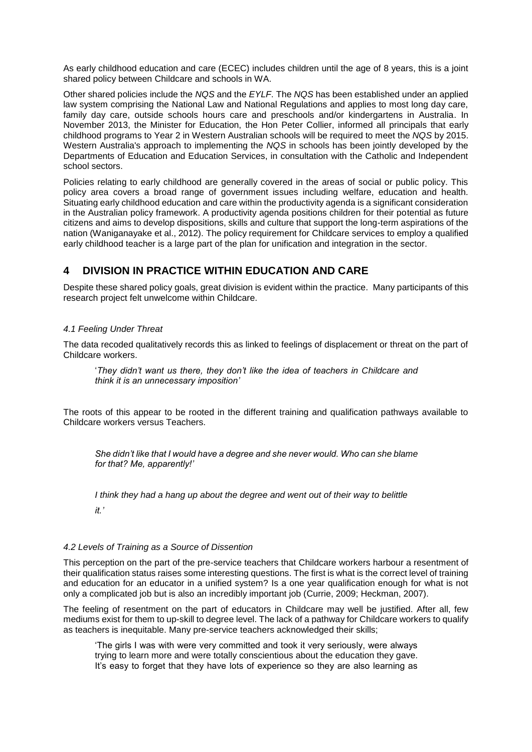As early childhood education and care (ECEC) includes children until the age of 8 years, this is a joint shared policy between Childcare and schools in WA.

Other shared policies include the *NQS* and the *EYLF*. The *NQS* has been established under an applied law system comprising the National Law and National Regulations and applies to most long day care, family day care, outside schools hours care and preschools and/or kindergartens in Australia. In November 2013, the Minister for Education, the Hon Peter Collier, informed all principals that early childhood programs to Year 2 in Western Australian schools will be required to meet the *NQS* by 2015. Western Australia's approach to implementing the *NQS* in schools has been jointly developed by the Departments of Education and Education Services, in consultation with the Catholic and Independent school sectors.

Policies relating to early childhood are generally covered in the areas of social or public policy. This policy area covers a broad range of government issues including welfare, education and health. Situating early childhood education and care within the productivity agenda is a significant consideration in the Australian policy framework. A productivity agenda positions children for their potential as future citizens and aims to develop dispositions, skills and culture that support the long-term aspirations of the nation (Waniganayake et al., 2012). The policy requirement for Childcare services to employ a qualified early childhood teacher is a large part of the plan for unification and integration in the sector.

## **4 DIVISION IN PRACTICE WITHIN EDUCATION AND CARE**

Despite these shared policy goals, great division is evident within the practice. Many participants of this research project felt unwelcome within Childcare.

#### *4.1 Feeling Under Threat*

The data recoded qualitatively records this as linked to feelings of displacement or threat on the part of Childcare workers.

'*They didn't want us there, they don't like the idea of teachers in Childcare and think it is an unnecessary imposition'*

The roots of this appear to be rooted in the different training and qualification pathways available to Childcare workers versus Teachers.

*She didn't like that I would have a degree and she never would. Who can she blame for that? Me, apparently!'*

*I think they had a hang up about the degree and went out of their way to belittle* 

*it.'*

#### *4.2 Levels of Training as a Source of Dissention*

This perception on the part of the pre-service teachers that Childcare workers harbour a resentment of their qualification status raises some interesting questions. The first is what is the correct level of training and education for an educator in a unified system? Is a one year qualification enough for what is not only a complicated job but is also an incredibly important job (Currie, 2009; Heckman, 2007).

The feeling of resentment on the part of educators in Childcare may well be justified. After all, few mediums exist for them to up-skill to degree level. The lack of a pathway for Childcare workers to qualify as teachers is inequitable. Many pre-service teachers acknowledged their skills;

'The girls I was with were very committed and took it very seriously, were always trying to learn more and were totally conscientious about the education they gave. It's easy to forget that they have lots of experience so they are also learning as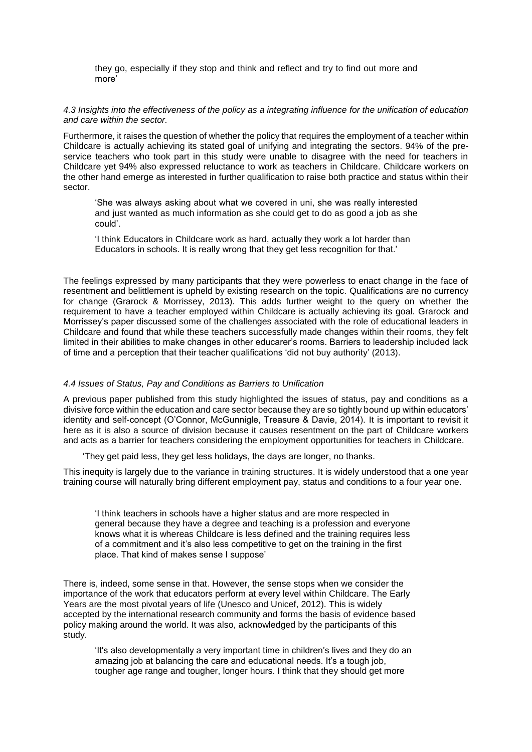they go, especially if they stop and think and reflect and try to find out more and more'

#### *4.3 Insights into the effectiveness of the policy as a integrating influence for the unification of education and care within the sector.*

Furthermore, it raises the question of whether the policy that requires the employment of a teacher within Childcare is actually achieving its stated goal of unifying and integrating the sectors. 94% of the preservice teachers who took part in this study were unable to disagree with the need for teachers in Childcare yet 94% also expressed reluctance to work as teachers in Childcare. Childcare workers on the other hand emerge as interested in further qualification to raise both practice and status within their sector.

'She was always asking about what we covered in uni, she was really interested and just wanted as much information as she could get to do as good a job as she could'.

'I think Educators in Childcare work as hard, actually they work a lot harder than Educators in schools. It is really wrong that they get less recognition for that.'

The feelings expressed by many participants that they were powerless to enact change in the face of resentment and belittlement is upheld by existing research on the topic. Qualifications are no currency for change (Grarock & Morrissey, 2013). This adds further weight to the query on whether the requirement to have a teacher employed within Childcare is actually achieving its goal. Grarock and Morrissey's paper discussed some of the challenges associated with the role of educational leaders in Childcare and found that while these teachers successfully made changes within their rooms, they felt limited in their abilities to make changes in other educarer's rooms. Barriers to leadership included lack of time and a perception that their teacher qualifications 'did not buy authority' (2013).

#### *4.4 Issues of Status, Pay and Conditions as Barriers to Unification*

A previous paper published from this study highlighted the issues of status, pay and conditions as a divisive force within the education and care sector because they are so tightly bound up within educators' identity and self-concept (O'Connor, McGunnigle, Treasure & Davie, 2014). It is important to revisit it here as it is also a source of division because it causes resentment on the part of Childcare workers and acts as a barrier for teachers considering the employment opportunities for teachers in Childcare.

'They get paid less, they get less holidays, the days are longer, no thanks.

This inequity is largely due to the variance in training structures. It is widely understood that a one year training course will naturally bring different employment pay, status and conditions to a four year one.

'I think teachers in schools have a higher status and are more respected in general because they have a degree and teaching is a profession and everyone knows what it is whereas Childcare is less defined and the training requires less of a commitment and it's also less competitive to get on the training in the first place. That kind of makes sense I suppose'

There is, indeed, some sense in that. However, the sense stops when we consider the importance of the work that educators perform at every level within Childcare. The Early Years are the most pivotal years of life (Unesco and Unicef, 2012). This is widely accepted by the international research community and forms the basis of evidence based policy making around the world. It was also, acknowledged by the participants of this study.

'It's also developmentally a very important time in children's lives and they do an amazing job at balancing the care and educational needs. It's a tough job, tougher age range and tougher, longer hours. I think that they should get more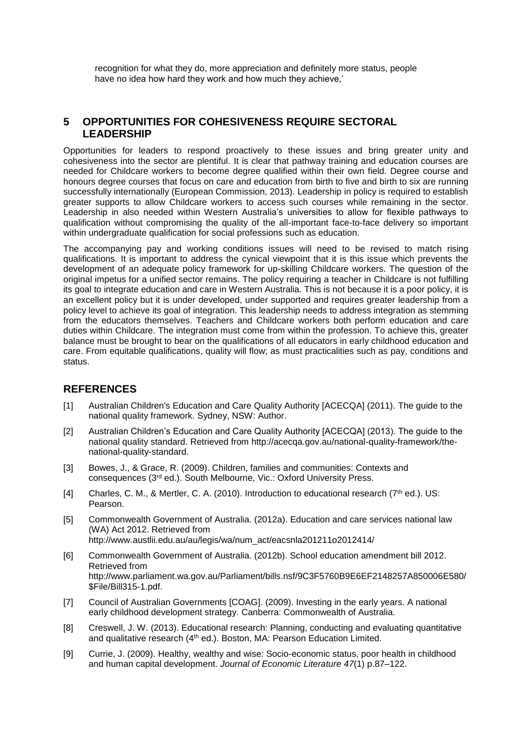recognition for what they do, more appreciation and definitely more status, people have no idea how hard they work and how much they achieve,'

## **5 OPPORTUNITIES FOR COHESIVENESS REQUIRE SECTORAL LEADERSHIP**

Opportunities for leaders to respond proactively to these issues and bring greater unity and cohesiveness into the sector are plentiful. It is clear that pathway training and education courses are needed for Childcare workers to become degree qualified within their own field. Degree course and honours degree courses that focus on care and education from birth to five and birth to six are running successfully internationally (European Commission, 2013). Leadership in policy is required to establish greater supports to allow Childcare workers to access such courses while remaining in the sector. Leadership in also needed within Western Australia's universities to allow for flexible pathways to qualification without compromising the quality of the all-important face-to-face delivery so important within undergraduate qualification for social professions such as education.

The accompanying pay and working conditions issues will need to be revised to match rising qualifications. It is important to address the cynical viewpoint that it is this issue which prevents the development of an adequate policy framework for up-skilling Childcare workers. The question of the original impetus for a unified sector remains. The policy requiring a teacher in Childcare is not fulfilling its goal to integrate education and care in Western Australia. This is not because it is a poor policy, it is an excellent policy but it is under developed, under supported and requires greater leadership from a policy level to achieve its goal of integration. This leadership needs to address integration as stemming from the educators themselves. Teachers and Childcare workers both perform education and care duties within Childcare. The integration must come from within the profession. To achieve this, greater balance must be brought to bear on the qualifications of all educators in early childhood education and care. From equitable qualifications, quality will flow; as must practicalities such as pay, conditions and status.

### **REFERENCES**

- [1] Australian Children's Education and Care Quality Authority [ACECQA] (2011). The guide to the national quality framework. Sydney, NSW: Author.
- [2] Australian Children's Education and Care Quality Authority [ACECQA] (2013). The guide to the national quality standard. Retrieved from http://acecqa.gov.au/national-quality-framework/thenational-quality-standard.
- [3] Bowes, J., & Grace, R. (2009). Children, families and communities: Contexts and consequences (3rd ed.). South Melbourne, Vic.: Oxford University Press.
- [4] Charles, C. M., & Mertler, C. A. (2010). Introduction to educational research ( $7<sup>th</sup>$  ed.). US: Pearson.
- [5] Commonwealth Government of Australia. (2012a). Education and care services national law (WA) Act 2012. Retrieved from http://www.austlii.edu.au/au/legis/wa/num\_act/eacsnla201211o2012414/
- [6] Commonwealth Government of Australia. (2012b). School education amendment bill 2012. Retrieved from http://www.parliament.wa.gov.au/Parliament/bills.nsf/9C3F5760B9E6EF2148257A850006E580/ \$File/Bill315-1.pdf.
- [7] Council of Australian Governments [COAG]. (2009). Investing in the early years. A national early childhood development strategy. Canberra: Commonwealth of Australia.
- [8] Creswell, J. W. (2013). Educational research: Planning, conducting and evaluating quantitative and qualitative research (4<sup>th</sup> ed.). Boston, MA: Pearson Education Limited.
- [9] Currie, J. (2009). Healthy, wealthy and wise: Socio-economic status, poor health in childhood and human capital development. *Journal of Economic Literature 47*(1) p.87–122.